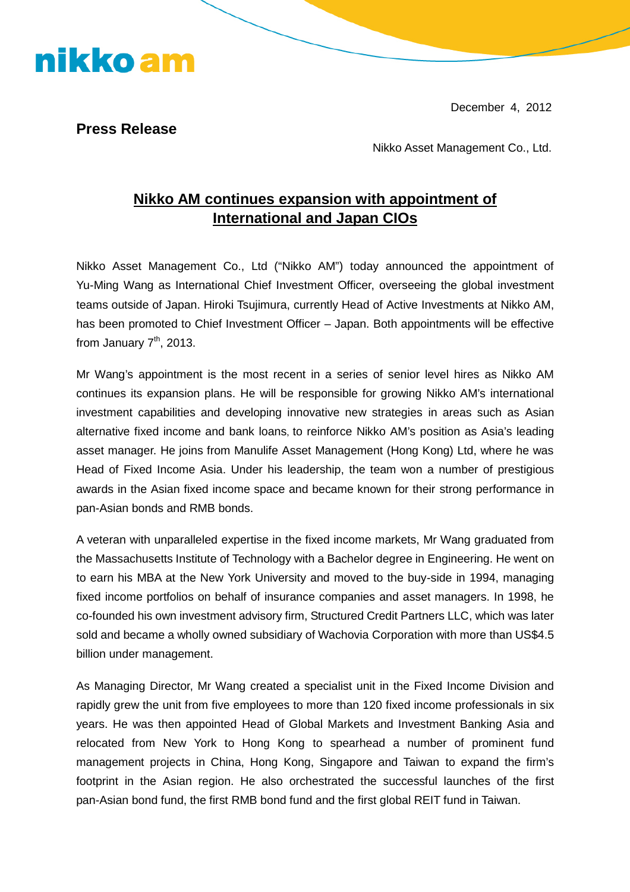December 4, 2012



nikko am

Nikko Asset Management Co., Ltd.

## **Nikko AM continues expansion with appointment of International and Japan CIOs**

Nikko Asset Management Co., Ltd ("Nikko AM") today announced the appointment of Yu-Ming Wang as International Chief Investment Officer, overseeing the global investment teams outside of Japan. Hiroki Tsujimura, currently Head of Active Investments at Nikko AM, has been promoted to Chief Investment Officer – Japan. Both appointments will be effective from January  $7<sup>th</sup>$ , 2013.

Mr Wang's appointment is the most recent in a series of senior level hires as Nikko AM continues its expansion plans. He will be responsible for growing Nikko AM's international investment capabilities and developing innovative new strategies in areas such as Asian alternative fixed income and bank loans, to reinforce Nikko AM's position as Asia's leading asset manager. He joins from Manulife Asset Management (Hong Kong) Ltd, where he was Head of Fixed Income Asia. Under his leadership, the team won a number of prestigious awards in the Asian fixed income space and became known for their strong performance in pan-Asian bonds and RMB bonds.

A veteran with unparalleled expertise in the fixed income markets, Mr Wang graduated from the Massachusetts Institute of Technology with a Bachelor degree in Engineering. He went on to earn his MBA at the New York University and moved to the buy-side in 1994, managing fixed income portfolios on behalf of insurance companies and asset managers. In 1998, he co-founded his own investment advisory firm, Structured Credit Partners LLC, which was later sold and became a wholly owned subsidiary of Wachovia Corporation with more than US\$4.5 billion under management.

As Managing Director, Mr Wang created a specialist unit in the Fixed Income Division and rapidly grew the unit from five employees to more than 120 fixed income professionals in six years. He was then appointed Head of Global Markets and Investment Banking Asia and relocated from New York to Hong Kong to spearhead a number of prominent fund management projects in China, Hong Kong, Singapore and Taiwan to expand the firm's footprint in the Asian region. He also orchestrated the successful launches of the first pan-Asian bond fund, the first RMB bond fund and the first global REIT fund in Taiwan.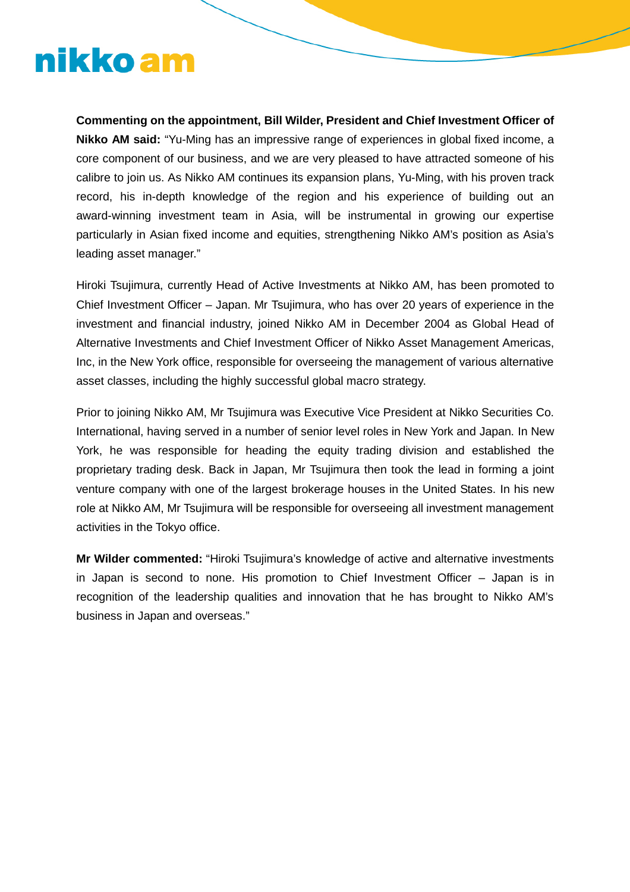## nikko am

**Commenting on the appointment, Bill Wilder, President and Chief Investment Officer of Nikko AM said:** "Yu-Ming has an impressive range of experiences in global fixed income, a core component of our business, and we are very pleased to have attracted someone of his calibre to join us. As Nikko AM continues its expansion plans, Yu-Ming, with his proven track record, his in-depth knowledge of the region and his experience of building out an award-winning investment team in Asia, will be instrumental in growing our expertise particularly in Asian fixed income and equities, strengthening Nikko AM's position as Asia's leading asset manager."

Hiroki Tsujimura, currently Head of Active Investments at Nikko AM, has been promoted to Chief Investment Officer – Japan. Mr Tsujimura, who has over 20 years of experience in the investment and financial industry, joined Nikko AM in December 2004 as Global Head of Alternative Investments and Chief Investment Officer of Nikko Asset Management Americas, Inc, in the New York office, responsible for overseeing the management of various alternative asset classes, including the highly successful global macro strategy.

Prior to joining Nikko AM, Mr Tsujimura was Executive Vice President at Nikko Securities Co. International, having served in a number of senior level roles in New York and Japan. In New York, he was responsible for heading the equity trading division and established the proprietary trading desk. Back in Japan, Mr Tsujimura then took the lead in forming a joint venture company with one of the largest brokerage houses in the United States. In his new role at Nikko AM, Mr Tsujimura will be responsible for overseeing all investment management activities in the Tokyo office.

**Mr Wilder commented:** "Hiroki Tsujimura's knowledge of active and alternative investments in Japan is second to none. His promotion to Chief Investment Officer – Japan is in recognition of the leadership qualities and innovation that he has brought to Nikko AM's business in Japan and overseas."